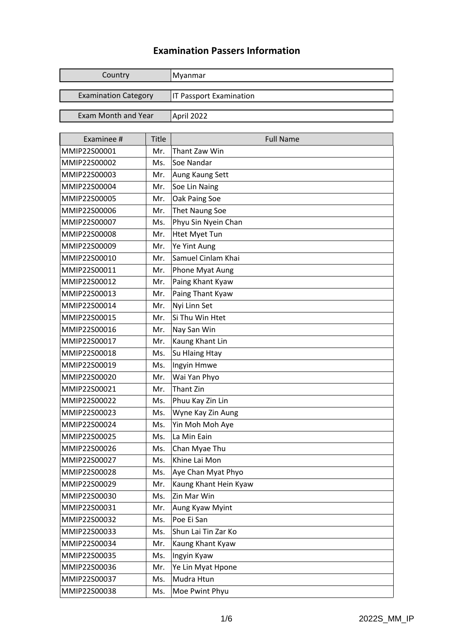## **Examination Passers Information**

| Country                     |              | Myanmar                        |
|-----------------------------|--------------|--------------------------------|
| <b>Examination Category</b> |              | <b>IT Passport Examination</b> |
|                             |              |                                |
| <b>Exam Month and Year</b>  |              | April 2022                     |
|                             |              |                                |
| Examinee #                  | <b>Title</b> | <b>Full Name</b>               |
| MMIP22S00001                | Mr.          | Thant Zaw Win                  |
| MMIP22S00002                | Ms.          | Soe Nandar                     |
| MMIP22S00003                | Mr.          | Aung Kaung Sett                |
| MMIP22S00004                | Mr.          | Soe Lin Naing                  |
| MMIP22S00005                | Mr.          | Oak Paing Soe                  |
| MMIP22S00006                | Mr.          | <b>Thet Naung Soe</b>          |
| MMIP22S00007                | Ms.          | Phyu Sin Nyein Chan            |
| MMIP22S00008                | Mr.          | <b>Htet Myet Tun</b>           |
| MMIP22S00009                | Mr.          | Ye Yint Aung                   |
| MMIP22S00010                | Mr.          | Samuel Cinlam Khai             |
| MMIP22S00011                | Mr.          | Phone Myat Aung                |
| MMIP22S00012                | Mr.          | Paing Khant Kyaw               |
| MMIP22S00013                | Mr.          | Paing Thant Kyaw               |
| MMIP22S00014                | Mr.          | Nyi Linn Set                   |
| MMIP22S00015                | Mr.          | Si Thu Win Htet                |
| MMIP22S00016                | Mr.          | Nay San Win                    |
| MMIP22S00017                | Mr.          | Kaung Khant Lin                |
| MMIP22S00018                | Ms.          | Su Hlaing Htay                 |
| MMIP22S00019                | Ms.          | Ingyin Hmwe                    |
| MMIP22S00020                | Mr.          | Wai Yan Phyo                   |
| MMIP22S00021                | Mr.          | Thant Zin                      |
| MMIP22S00022                | Ms.          | Phuu Kay Zin Lin               |
| MMIP22S00023                | Ms.          | Wyne Kay Zin Aung              |
| MMIP22S00024                | Ms.          | Yin Moh Moh Aye                |
| MMIP22S00025                | Ms.          | La Min Eain                    |
| MMIP22S00026                | Ms.          | Chan Myae Thu                  |
| MMIP22S00027                | Ms.          | Khine Lai Mon                  |
| MMIP22S00028                | Ms.          | Aye Chan Myat Phyo             |
| MMIP22S00029                | Mr.          | Kaung Khant Hein Kyaw          |
| MMIP22S00030                | Ms.          | Zin Mar Win                    |
| MMIP22S00031                | Mr.          | Aung Kyaw Myint                |
| MMIP22S00032                | Ms.          | Poe Ei San                     |
| MMIP22S00033                | Ms.          | Shun Lai Tin Zar Ko            |
| MMIP22S00034                | Mr.          | Kaung Khant Kyaw               |
| MMIP22S00035                | Ms.          | Ingyin Kyaw                    |
| MMIP22S00036                | Mr.          | Ye Lin Myat Hpone              |
| MMIP22S00037                | Ms.          | Mudra Htun                     |
| MMIP22S00038                | Ms.          | Moe Pwint Phyu                 |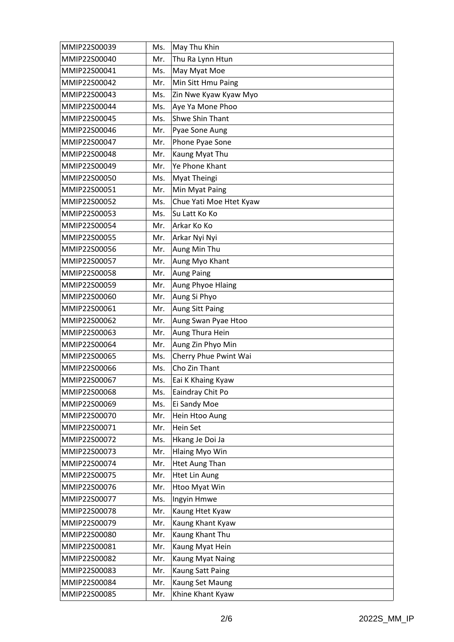| MMIP22S00039 | Ms. | May Thu Khin            |
|--------------|-----|-------------------------|
| MMIP22S00040 | Mr. | Thu Ra Lynn Htun        |
| MMIP22S00041 | Ms. | May Myat Moe            |
| MMIP22S00042 | Mr. | Min Sitt Hmu Paing      |
| MMIP22S00043 | Ms. | Zin Nwe Kyaw Kyaw Myo   |
| MMIP22S00044 | Ms. | Aye Ya Mone Phoo        |
| MMIP22S00045 | Ms. | <b>Shwe Shin Thant</b>  |
| MMIP22S00046 | Mr. | Pyae Sone Aung          |
| MMIP22S00047 | Mr. | Phone Pyae Sone         |
| MMIP22S00048 | Mr. | Kaung Myat Thu          |
| MMIP22S00049 | Mr. | Ye Phone Khant          |
| MMIP22S00050 | Ms. | Myat Theingi            |
| MMIP22S00051 | Mr. | Min Myat Paing          |
| MMIP22S00052 | Ms. | Chue Yati Moe Htet Kyaw |
| MMIP22S00053 | Ms. | Su Latt Ko Ko           |
| MMIP22S00054 | Mr. | Arkar Ko Ko             |
| MMIP22S00055 | Mr. | Arkar Nyi Nyi           |
| MMIP22S00056 | Mr. | Aung Min Thu            |
| MMIP22S00057 | Mr. | Aung Myo Khant          |
| MMIP22S00058 | Mr. | <b>Aung Paing</b>       |
| MMIP22S00059 | Mr. | Aung Phyoe Hlaing       |
| MMIP22S00060 | Mr. | Aung Si Phyo            |
| MMIP22S00061 | Mr. | Aung Sitt Paing         |
| MMIP22S00062 | Mr. | Aung Swan Pyae Htoo     |
| MMIP22S00063 | Mr. | Aung Thura Hein         |
| MMIP22S00064 | Mr. | Aung Zin Phyo Min       |
| MMIP22S00065 | Ms. | Cherry Phue Pwint Wai   |
| MMIP22S00066 | Ms. | Cho Zin Thant           |
| MMIP22S00067 | Ms. | Eai K Khaing Kyaw       |
| MMIP22S00068 | Ms. | Eaindray Chit Po        |
| MMIP22S00069 | Ms. | Ei Sandy Moe            |
| MMIP22S00070 | Mr. | Hein Htoo Aung          |
| MMIP22S00071 | Mr. | Hein Set                |
| MMIP22S00072 | Ms. | Hkang Je Doi Ja         |
| MMIP22S00073 | Mr. | <b>Hlaing Myo Win</b>   |
| MMIP22S00074 | Mr. | <b>Htet Aung Than</b>   |
| MMIP22S00075 | Mr. | <b>Htet Lin Aung</b>    |
| MMIP22S00076 | Mr. | Htoo Myat Win           |
| MMIP22S00077 | Ms. | Ingyin Hmwe             |
| MMIP22S00078 | Mr. | Kaung Htet Kyaw         |
| MMIP22S00079 | Mr. | Kaung Khant Kyaw        |
| MMIP22S00080 | Mr. | Kaung Khant Thu         |
| MMIP22S00081 | Mr. | Kaung Myat Hein         |
| MMIP22S00082 | Mr. | Kaung Myat Naing        |
| MMIP22S00083 | Mr. | Kaung Satt Paing        |
| MMIP22S00084 | Mr. | Kaung Set Maung         |
| MMIP22S00085 | Mr. | Khine Khant Kyaw        |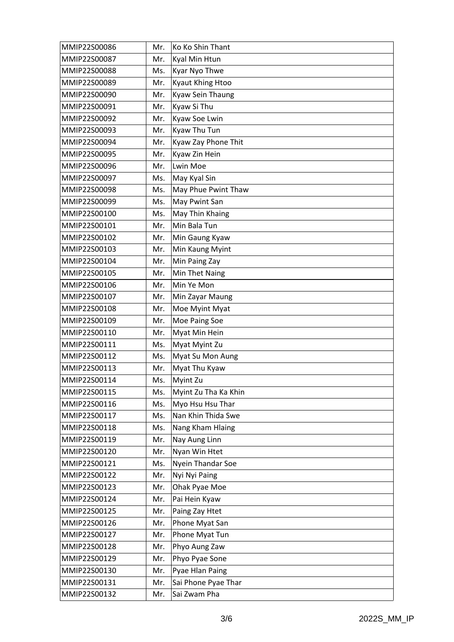| MMIP22S00086 | Mr. | Ko Ko Shin Thant     |
|--------------|-----|----------------------|
| MMIP22S00087 | Mr. | Kyal Min Htun        |
| MMIP22S00088 | Ms. | Kyar Nyo Thwe        |
| MMIP22S00089 | Mr. | Kyaut Khing Htoo     |
| MMIP22S00090 | Mr. | Kyaw Sein Thaung     |
| MMIP22S00091 | Mr. | Kyaw Si Thu          |
| MMIP22S00092 | Mr. | Kyaw Soe Lwin        |
| MMIP22S00093 | Mr. | Kyaw Thu Tun         |
| MMIP22S00094 | Mr. | Kyaw Zay Phone Thit  |
| MMIP22S00095 | Mr. | Kyaw Zin Hein        |
| MMIP22S00096 | Mr. | Lwin Moe             |
| MMIP22S00097 | Ms. | May Kyal Sin         |
| MMIP22S00098 | Ms. | May Phue Pwint Thaw  |
| MMIP22S00099 | Ms. | May Pwint San        |
| MMIP22S00100 | Ms. | May Thin Khaing      |
| MMIP22S00101 | Mr. | Min Bala Tun         |
| MMIP22S00102 | Mr. | Min Gaung Kyaw       |
| MMIP22S00103 | Mr. | Min Kaung Myint      |
| MMIP22S00104 | Mr. | Min Paing Zay        |
| MMIP22S00105 | Mr. | Min Thet Naing       |
| MMIP22S00106 | Mr. | Min Ye Mon           |
| MMIP22S00107 | Mr. | Min Zayar Maung      |
| MMIP22S00108 | Mr. | Moe Myint Myat       |
| MMIP22S00109 | Mr. | Moe Paing Soe        |
| MMIP22S00110 | Mr. | Myat Min Hein        |
| MMIP22S00111 | Ms. | Myat Myint Zu        |
| MMIP22S00112 | Ms. | Myat Su Mon Aung     |
| MMIP22S00113 | Mr. | Myat Thu Kyaw        |
| MMIP22S00114 | Ms. | Myint Zu             |
| MMIP22S00115 | Ms. | Myint Zu Tha Ka Khin |
| MMIP22S00116 | Ms. | Myo Hsu Hsu Thar     |
| MMIP22S00117 | Ms. | Nan Khin Thida Swe   |
| MMIP22S00118 | Ms. | Nang Kham Hlaing     |
| MMIP22S00119 | Mr. | Nay Aung Linn        |
| MMIP22S00120 | Mr. | Nyan Win Htet        |
| MMIP22S00121 | Ms. | Nyein Thandar Soe    |
| MMIP22S00122 | Mr. | Nyi Nyi Paing        |
| MMIP22S00123 | Mr. | Ohak Pyae Moe        |
| MMIP22S00124 | Mr. | Pai Hein Kyaw        |
| MMIP22S00125 | Mr. | Paing Zay Htet       |
| MMIP22S00126 | Mr. | Phone Myat San       |
| MMIP22S00127 | Mr. | Phone Myat Tun       |
| MMIP22S00128 | Mr. | Phyo Aung Zaw        |
| MMIP22S00129 | Mr. | Phyo Pyae Sone       |
| MMIP22S00130 | Mr. | Pyae Hlan Paing      |
| MMIP22S00131 | Mr. | Sai Phone Pyae Thar  |
| MMIP22S00132 | Mr. | Sai Zwam Pha         |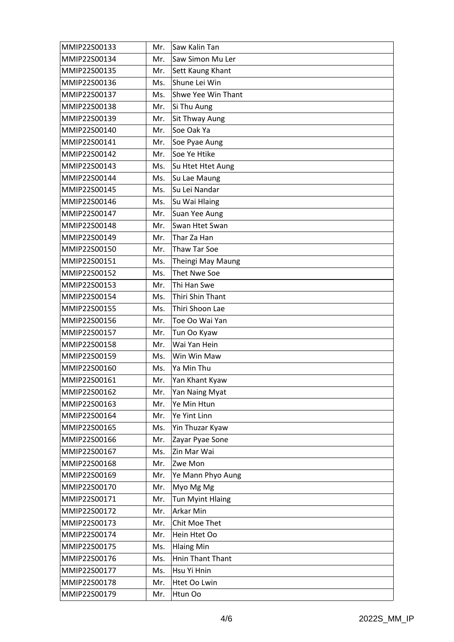| MMIP22S00133 | Mr. | Saw Kalin Tan           |
|--------------|-----|-------------------------|
| MMIP22S00134 | Mr. | Saw Simon Mu Ler        |
| MMIP22S00135 | Mr. | Sett Kaung Khant        |
| MMIP22S00136 | Ms. | Shune Lei Win           |
| MMIP22S00137 | Ms. | Shwe Yee Win Thant      |
| MMIP22S00138 | Mr. | Si Thu Aung             |
| MMIP22S00139 | Mr. | Sit Thway Aung          |
| MMIP22S00140 | Mr. | Soe Oak Ya              |
| MMIP22S00141 | Mr. | Soe Pyae Aung           |
| MMIP22S00142 | Mr. | Soe Ye Htike            |
| MMIP22S00143 | Ms. | Su Htet Htet Aung       |
| MMIP22S00144 | Ms. | Su Lae Maung            |
| MMIP22S00145 | Ms. | Su Lei Nandar           |
| MMIP22S00146 | Ms. | Su Wai Hlaing           |
| MMIP22S00147 | Mr. | Suan Yee Aung           |
| MMIP22S00148 | Mr. | Swan Htet Swan          |
| MMIP22S00149 | Mr. | Thar Za Han             |
| MMIP22S00150 | Mr. | <b>Thaw Tar Soe</b>     |
| MMIP22S00151 | Ms. | Theingi May Maung       |
| MMIP22S00152 | Ms. | Thet Nwe Soe            |
| MMIP22S00153 | Mr. | Thi Han Swe             |
| MMIP22S00154 | Ms. | Thiri Shin Thant        |
| MMIP22S00155 | Ms. | Thiri Shoon Lae         |
| MMIP22S00156 | Mr. | Toe Oo Wai Yan          |
| MMIP22S00157 | Mr. | Tun Oo Kyaw             |
| MMIP22S00158 | Mr. | Wai Yan Hein            |
| MMIP22S00159 | Ms. | Win Win Maw             |
| MMIP22S00160 | Ms. | Ya Min Thu              |
| MMIP22S00161 | Mr. | Yan Khant Kyaw          |
| MMIP22S00162 | Mr. | Yan Naing Myat          |
| MMIP22S00163 | Mr. | Ye Min Htun             |
| MMIP22S00164 | Mr. | Ye Yint Linn            |
| MMIP22S00165 | Ms. | Yin Thuzar Kyaw         |
| MMIP22S00166 | Mr. | Zayar Pyae Sone         |
| MMIP22S00167 | Ms. | Zin Mar Wai             |
| MMIP22S00168 | Mr. | Zwe Mon                 |
| MMIP22S00169 | Mr. | Ye Mann Phyo Aung       |
| MMIP22S00170 | Mr. | Myo Mg Mg               |
| MMIP22S00171 | Mr. | <b>Tun Myint Hlaing</b> |
| MMIP22S00172 | Mr. | Arkar Min               |
| MMIP22S00173 | Mr. | Chit Moe Thet           |
| MMIP22S00174 | Mr. | Hein Htet Oo            |
| MMIP22S00175 | Ms. | <b>Hlaing Min</b>       |
| MMIP22S00176 | Ms. | Hnin Thant Thant        |
| MMIP22S00177 | Ms. | Hsu Yi Hnin             |
| MMIP22S00178 | Mr. | Htet Oo Lwin            |
| MMIP22S00179 | Mr. | Htun Oo                 |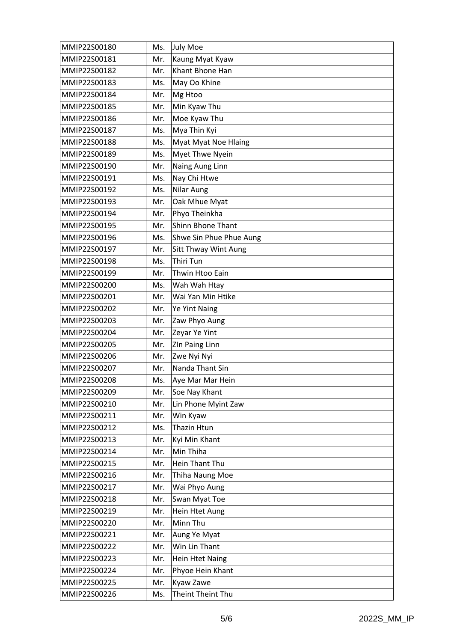| MMIP22S00180 | Ms. | July Moe                    |
|--------------|-----|-----------------------------|
| MMIP22S00181 | Mr. | Kaung Myat Kyaw             |
| MMIP22S00182 | Mr. | Khant Bhone Han             |
| MMIP22S00183 | Ms. | May Oo Khine                |
| MMIP22S00184 | Mr. | Mg Htoo                     |
| MMIP22S00185 | Mr. | Min Kyaw Thu                |
| MMIP22S00186 | Mr. | Moe Kyaw Thu                |
| MMIP22S00187 | Ms. | Mya Thin Kyi                |
| MMIP22S00188 | Ms. | <b>Myat Myat Noe Hlaing</b> |
| MMIP22S00189 | Ms. | Myet Thwe Nyein             |
| MMIP22S00190 | Mr. | Naing Aung Linn             |
| MMIP22S00191 | Ms. | Nay Chi Htwe                |
| MMIP22S00192 | Ms. | Nilar Aung                  |
| MMIP22S00193 | Mr. | Oak Mhue Myat               |
| MMIP22S00194 | Mr. | Phyo Theinkha               |
| MMIP22S00195 | Mr. | <b>Shinn Bhone Thant</b>    |
| MMIP22S00196 | Ms. | Shwe Sin Phue Phue Aung     |
| MMIP22S00197 | Mr. | Sitt Thway Wint Aung        |
| MMIP22S00198 | Ms. | Thiri Tun                   |
| MMIP22S00199 | Mr. | Thwin Htoo Eain             |
| MMIP22S00200 | Ms. | Wah Wah Htay                |
| MMIP22S00201 | Mr. | Wai Yan Min Htike           |
| MMIP22S00202 | Mr. | Ye Yint Naing               |
| MMIP22S00203 | Mr. | Zaw Phyo Aung               |
| MMIP22S00204 | Mr. | Zeyar Ye Yint               |
| MMIP22S00205 | Mr. | ZIn Paing Linn              |
| MMIP22S00206 | Mr. | Zwe Nyi Nyi                 |
| MMIP22S00207 | Mr. | Nanda Thant Sin             |
| MMIP22S00208 | Ms. | Aye Mar Mar Hein            |
| MMIP22S00209 | Mr. | Soe Nay Khant               |
| MMIP22S00210 | Mr. | Lin Phone Myint Zaw         |
| MMIP22S00211 | Mr. | Win Kyaw                    |
| MMIP22S00212 | Ms. | Thazin Htun                 |
| MMIP22S00213 | Mr. | Kyi Min Khant               |
| MMIP22S00214 | Mr. | Min Thiha                   |
| MMIP22S00215 | Mr. | Hein Thant Thu              |
| MMIP22S00216 | Mr. | Thiha Naung Moe             |
| MMIP22S00217 | Mr. | Wai Phyo Aung               |
| MMIP22S00218 | Mr. | Swan Myat Toe               |
| MMIP22S00219 | Mr. | Hein Htet Aung              |
| MMIP22S00220 | Mr. | Minn Thu                    |
| MMIP22S00221 | Mr. | Aung Ye Myat                |
| MMIP22S00222 | Mr. | Win Lin Thant               |
| MMIP22S00223 | Mr. | <b>Hein Htet Naing</b>      |
| MMIP22S00224 | Mr. | Phyoe Hein Khant            |
| MMIP22S00225 | Mr. | Kyaw Zawe                   |
| MMIP22S00226 | Ms. | Theint Theint Thu           |